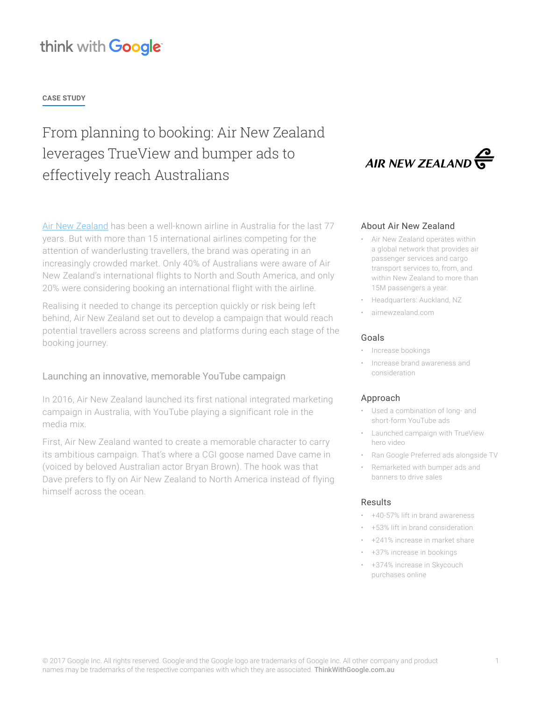# think with Google

### **CASE STUDY**

# From planning to booking: Air New Zealand leverages TrueView and bumper ads to effectively reach Australians

[Air New Zealand](https://www.airnewzealand.com/) has been a well-known airline in Australia for the last 77 years. But with more than 15 international airlines competing for the attention of wanderlusting travellers, the brand was operating in an increasingly crowded market. Only 40% of Australians were aware of Air New Zealand's international flights to North and South America, and only 20% were considering booking an international flight with the airline.

Realising it needed to change its perception quickly or risk being left behind, Air New Zealand set out to develop a campaign that would reach potential travellers across screens and platforms during each stage of the booking journey.

### Launching an innovative, memorable YouTube campaign

In 2016, Air New Zealand launched its first national integrated marketing campaign in Australia, with YouTube playing a significant role in the media mix.

First, Air New Zealand wanted to create a memorable character to carry its ambitious campaign. That's where a CGI goose named Dave came in (voiced by beloved Australian actor Bryan Brown). The hook was that Dave prefers to fly on Air New Zealand to North America instead of flying himself across the ocean.



### About Air New Zealand

- Air New Zealand operates within a global network that provides air passenger services and cargo transport services to, from, and within New Zealand to more than 15M passengers a year.
- Headquarters: Auckland, NZ
- airnewzealand.com

#### Goals

- Increase bookings
- Increase brand awareness and consideration

#### Approach

- Used a combination of long- and short-form YouTube ads
- Launched campaign with TrueView hero video
- Ran Google Preferred ads alongside TV
- Remarketed with bumper ads and banners to drive sales

### Results

- +40-57% lift in brand awareness
- +53% lift in brand consideration
- +241% increase in market share
- +37% increase in bookings
- +374% increase in Skycouch purchases online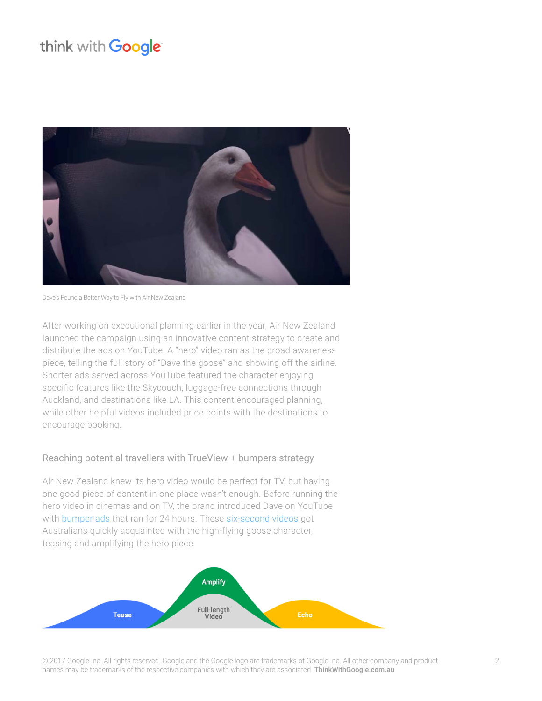# think with Google



[Dave's Found a Better Way to Fly with Air New Zealand](https://www.youtube.com/watch?v=oLTUz9qk45o&index=2&list=PLPJtOb-zyV5TDPMo17IUIjHPrctDXcm9j)

After working on executional planning earlier in the year, Air New Zealand launched the campaign using an innovative content strategy to create and distribute the ads on YouTube. A "hero" video ran as the broad awareness piece, telling the full story of "Dave the goose" and showing off the airline. Shorter ads served across YouTube featured the character enjoying specific features like the Skycouch, luggage-free connections through Auckland, and destinations like LA. This content encouraged planning, while other helpful videos included price points with the destinations to encourage booking.

## Reaching potential travellers with TrueView + bumpers strategy

Air New Zealand knew its hero video would be perfect for TV, but having one good piece of content in one place wasn't enough. Before running the hero video in cinemas and on TV, the brand introduced Dave on YouTube with [bumper ads](https://support.google.com/adwords/answer/7159363?hl=en) that ran for 24 hours. These [six-second videos](https://www.youtube.com/watch?v=ApC3W1v_lUQ) got Australians quickly acquainted with the high-flying goose character, teasing and amplifying the hero piece.



© 2017 Google Inc. All rights reserved. Google and the Google logo are trademarks of Google Inc. All other company and product names may be trademarks of the respective companies with which they are associated. [ThinkWithGoogle.com.](https://www.thinkwithgoogle.com/collections/canada.html)au